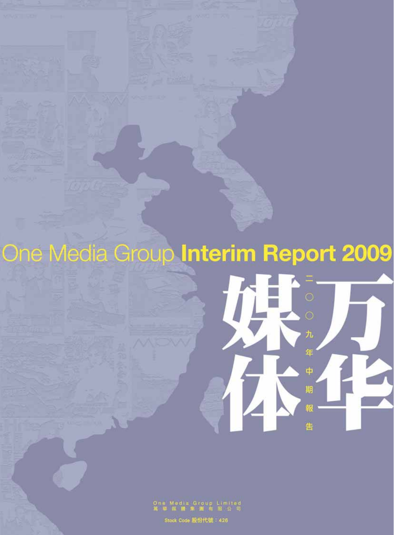One Media Group Interim Report 2009  $\mathcal{H}$ 年 4 期 報 吿

Stock Code 股份代號: 426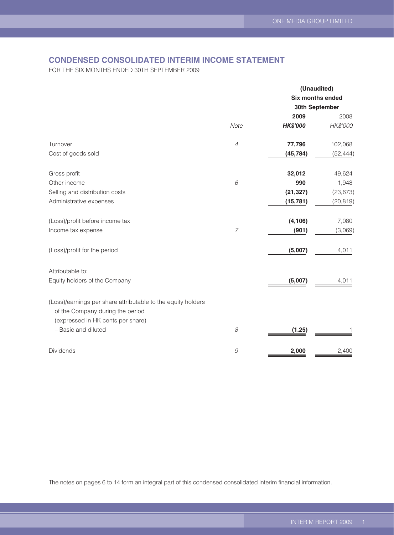## **CONDENSED CONSOLIDATED INTERIM INCOME STATEMENT**

FOR THE SIX MONTHS ENDED 30TH SEPTEMBER 2009

|                                                                                                  |                | (Unaudited)      |           |  |
|--------------------------------------------------------------------------------------------------|----------------|------------------|-----------|--|
|                                                                                                  |                | Six months ended |           |  |
|                                                                                                  |                | 30th September   |           |  |
|                                                                                                  |                | 2009             | 2008      |  |
|                                                                                                  | Note           | <b>HK\$'000</b>  | HK\$'000  |  |
| Turnover                                                                                         | $\overline{4}$ | 77,796           | 102,068   |  |
| Cost of goods sold                                                                               |                | (45, 784)        | (52, 444) |  |
| Gross profit                                                                                     |                | 32,012           | 49,624    |  |
| Other income                                                                                     | 6              | 990              | 1,948     |  |
| Selling and distribution costs                                                                   |                | (21, 327)        | (23, 673) |  |
| Administrative expenses                                                                          |                | (15, 781)        | (20, 819) |  |
| (Loss)/profit before income tax                                                                  |                | (4, 106)         | 7,080     |  |
| Income tax expense                                                                               | $\overline{7}$ | (901)            | (3,069)   |  |
| (Loss)/profit for the period                                                                     |                | (5,007)          | 4,011     |  |
| Attributable to:                                                                                 |                |                  |           |  |
| Equity holders of the Company                                                                    |                | (5,007)          | 4,011     |  |
| (Loss)/earnings per share attributable to the equity holders<br>of the Company during the period |                |                  |           |  |
| (expressed in HK cents per share)<br>- Basic and diluted                                         | 8              | (1.25)           |           |  |
| Dividends                                                                                        | $\mathcal G$   | 2,000            | 2,400     |  |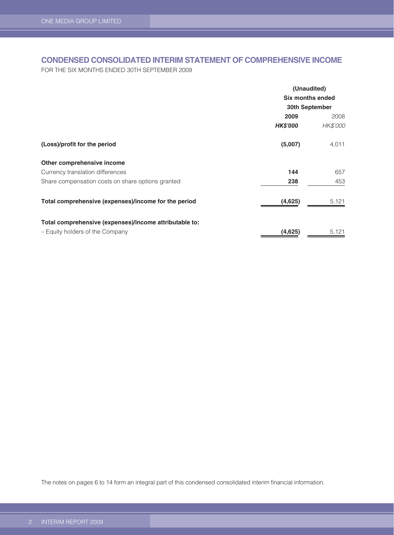## **CONDENSED CONSOLIDATED INTERIM STATEMENT OF COMPREHENSIVE INCOME**

FOR THE SIX MONTHS ENDED 30TH SEPTEMBER 2009

|                                                        |                  | (Unaudited) |  |
|--------------------------------------------------------|------------------|-------------|--|
|                                                        | Six months ended |             |  |
|                                                        | 30th September   |             |  |
|                                                        | 2009             | 2008        |  |
|                                                        | <b>HK\$'000</b>  | HK\$'000    |  |
| (Loss)/profit for the period                           | (5,007)          | 4,011       |  |
| Other comprehensive income                             |                  |             |  |
| Currency translation differences                       | 144              | 657         |  |
| Share compensation costs on share options granted      | 238              | 453         |  |
| Total comprehensive (expenses)/income for the period   | (4,625)          | 5,121       |  |
| Total comprehensive (expenses)/income attributable to: |                  |             |  |
| - Equity holders of the Company                        | (4,625)          | 5,121       |  |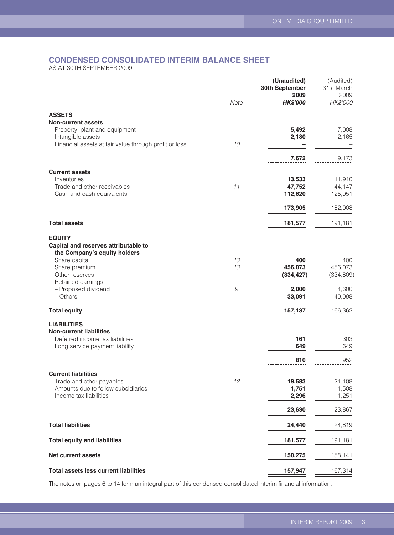## **CONDENSED CONSOLIDATED INTERIM BALANCE SHEET**

AS AT 30TH SEPTEMBER 2009

|                                                                                 |                                                           | (Unaudited)<br>30th September<br>2009 | (Audited)<br>31st March<br>2009 |
|---------------------------------------------------------------------------------|-----------------------------------------------------------|---------------------------------------|---------------------------------|
|                                                                                 | Note                                                      | <b>HK\$'000</b>                       | HK\$'000                        |
| <b>ASSETS</b>                                                                   |                                                           |                                       |                                 |
| <b>Non-current assets</b><br>Property, plant and equipment<br>Intangible assets |                                                           | 5,492<br>2,180                        | 7,008<br>2,165                  |
| Financial assets at fair value through profit or loss                           | 10                                                        |                                       |                                 |
|                                                                                 |                                                           | 7,672                                 | 9,173                           |
| <b>Current assets</b>                                                           |                                                           |                                       |                                 |
| Inventories<br>Trade and other receivables                                      | 11                                                        | 13,533<br>47,752                      | 11,910<br>44,147                |
| Cash and cash equivalents                                                       |                                                           | 112,620                               | 125,951                         |
|                                                                                 |                                                           | 173,905                               | 182,008                         |
| <b>Total assets</b>                                                             |                                                           | 181,577                               | 191,181                         |
| <b>EQUITY</b>                                                                   |                                                           |                                       |                                 |
| Capital and reserves attributable to                                            |                                                           |                                       |                                 |
| the Company's equity holders<br>Share capital                                   | 13                                                        | 400                                   | 400                             |
| Share premium                                                                   | 13                                                        | 456,073                               | 456,073                         |
| Other reserves                                                                  |                                                           | (334, 427)                            | (334, 809)                      |
| Retained earnings                                                               | $\mathcal{G}% _{M_{1},M_{2}}^{\alpha,\beta}(\varepsilon)$ |                                       |                                 |
| - Proposed dividend<br>$-$ Others                                               |                                                           | 2,000<br>33,091                       | 4,600<br>40,098                 |
| <b>Total equity</b>                                                             |                                                           | 157,137                               | 166,362                         |
| <b>LIABILITIES</b>                                                              |                                                           |                                       |                                 |
| <b>Non-current liabilities</b>                                                  |                                                           |                                       |                                 |
| Deferred income tax liabilities                                                 |                                                           | 161                                   | 303                             |
| Long service payment liability                                                  |                                                           | 649                                   | 649                             |
|                                                                                 |                                                           | 810                                   | 952                             |
| <b>Current liabilities</b>                                                      |                                                           |                                       |                                 |
| Trade and other payables                                                        | 12                                                        | 19,583                                | 21,108                          |
| Amounts due to fellow subsidiaries                                              |                                                           | 1,751                                 | 1,508                           |
| Income tax liabilities                                                          |                                                           | 2,296                                 | 1,251                           |
|                                                                                 |                                                           | 23,630                                | 23,867                          |
| <b>Total liabilities</b>                                                        |                                                           | 24,440                                | 24,819                          |
| <b>Total equity and liabilities</b>                                             |                                                           | 181,577                               | 191,181                         |
| <b>Net current assets</b>                                                       |                                                           | 150,275                               | 158,141                         |
| <b>Total assets less current liabilities</b>                                    |                                                           | 157,947                               | 167,314                         |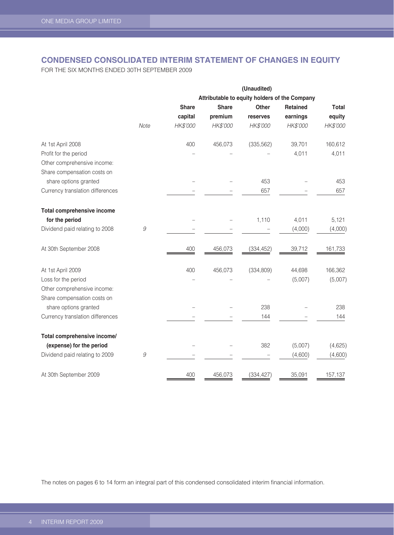## **CONDENSED CONSOLIDATED INTERIM STATEMENT OF CHANGES IN EQUITY**

FOR THE SIX MONTHS ENDED 30TH SEPTEMBER 2009

|                                                            |      |              |              | (Unaudited) |                                               |              |
|------------------------------------------------------------|------|--------------|--------------|-------------|-----------------------------------------------|--------------|
|                                                            |      |              |              |             | Attributable to equity holders of the Company |              |
|                                                            |      | <b>Share</b> | <b>Share</b> | Other       | <b>Retained</b>                               | <b>Total</b> |
|                                                            |      | capital      | premium      | reserves    | earnings                                      | equity       |
|                                                            | Note | HK\$'000     | HK\$'000     | HK\$'000    | HK\$'000                                      | HK\$'000     |
| At 1st April 2008                                          |      | 400          | 456,073      | (335, 562)  | 39,701                                        | 160,612      |
| Profit for the period                                      |      |              |              |             | 4,011                                         | 4,011        |
| Other comprehensive income:                                |      |              |              |             |                                               |              |
| Share compensation costs on                                |      |              |              |             |                                               |              |
| share options granted                                      |      |              |              | 453         |                                               | 453          |
| Currency translation differences                           |      |              |              | 657         |                                               | 657          |
| <b>Total comprehensive income</b>                          |      |              |              |             |                                               |              |
| for the period                                             |      |              |              | 1,110       | 4,011                                         | 5,121        |
| Dividend paid relating to 2008                             | 9    |              |              |             | (4,000)                                       | (4,000)      |
| At 30th September 2008                                     |      | 400          | 456,073      | (334, 452)  | 39,712                                        | 161,733      |
| At 1st April 2009                                          |      | 400          | 456,073      | (334, 809)  | 44,698                                        | 166,362      |
| Loss for the period                                        |      |              |              |             | (5,007)                                       | (5,007)      |
| Other comprehensive income:<br>Share compensation costs on |      |              |              |             |                                               |              |
| share options granted                                      |      |              |              | 238         |                                               | 238          |
| Currency translation differences                           |      |              |              | 144         |                                               | 144          |
|                                                            |      |              |              |             |                                               |              |
| Total comprehensive income/                                |      |              |              |             |                                               |              |
| (expense) for the period                                   |      |              |              | 382         | (5,007)                                       | (4,625)      |
| Dividend paid relating to 2009                             | 9    |              |              |             | (4,600)                                       | (4,600)      |
| At 30th September 2009                                     |      | 400          | 456,073      | (334, 427)  | 35,091                                        | 157,137      |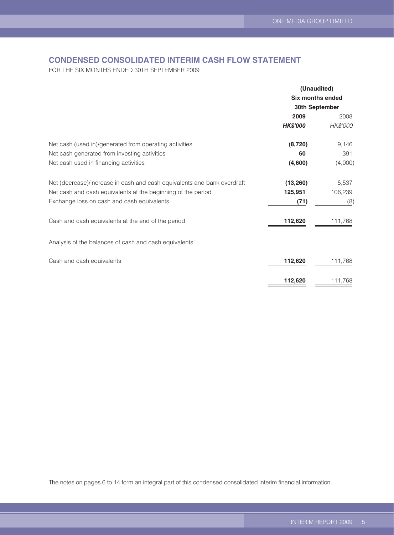## **CONDENSED CONSOLIDATED INTERIM CASH FLOW STATEMENT**

FOR THE SIX MONTHS ENDED 30TH SEPTEMBER 2009

|                                                                         | (Unaudited)<br><b>Six months ended</b> |          |  |
|-------------------------------------------------------------------------|----------------------------------------|----------|--|
|                                                                         |                                        |          |  |
|                                                                         | 30th September                         |          |  |
|                                                                         | 2009                                   | 2008     |  |
|                                                                         | <b>HK\$'000</b>                        | HK\$'000 |  |
| Net cash (used in)/generated from operating activities                  | (8, 720)                               | 9,146    |  |
| Net cash generated from investing activities                            | 60                                     | 391      |  |
| Net cash used in financing activities                                   | (4,600)                                | (4,000)  |  |
| Net (decrease)/increase in cash and cash equivalents and bank overdraft | (13, 260)                              | 5,537    |  |
| Net cash and cash equivalents at the beginning of the period            | 125,951                                | 106,239  |  |
| Exchange loss on cash and cash equivalents                              | (71)                                   | (8)      |  |
| Cash and cash equivalents at the end of the period                      | 112,620                                | 111,768  |  |
| Analysis of the balances of cash and cash equivalents                   |                                        |          |  |
| Cash and cash equivalents                                               | 112,620                                | 111,768  |  |
|                                                                         | 112,620                                | 111,768  |  |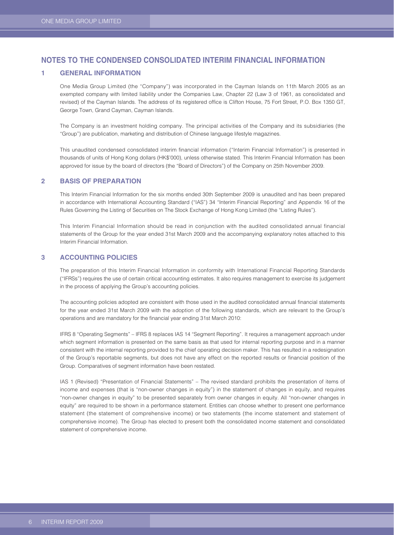#### **1 GENERAL INFORMATION**

One Media Group Limited (the "Company") was incorporated in the Cayman Islands on 11th March 2005 as an exempted company with limited liability under the Companies Law, Chapter 22 (Law 3 of 1961, as consolidated and revised) of the Cayman Islands. The address of its registered office is Clifton House, 75 Fort Street, P.O. Box 1350 GT, George Town, Grand Cayman, Cayman Islands.

The Company is an investment holding company. The principal activities of the Company and its subsidiaries (the "Group") are publication, marketing and distribution of Chinese language lifestyle magazines.

This unaudited condensed consolidated interim financial information ("Interim Financial Information") is presented in thousands of units of Hong Kong dollars (HK\$'000), unless otherwise stated. This Interim Financial Information has been approved for issue by the board of directors (the "Board of Directors") of the Company on 25th November 2009.

#### **2 BASIS OF PREPARATION**

This Interim Financial Information for the six months ended 30th September 2009 is unaudited and has been prepared in accordance with International Accounting Standard ("IAS") 34 "Interim Financial Reporting" and Appendix 16 of the Rules Governing the Listing of Securities on The Stock Exchange of Hong Kong Limited (the "Listing Rules").

This Interim Financial Information should be read in conjunction with the audited consolidated annual financial statements of the Group for the year ended 31st March 2009 and the accompanying explanatory notes attached to this Interim Financial Information.

#### **3 ACCOUNTING POLICIES**

The preparation of this Interim Financial Information in conformity with International Financial Reporting Standards ("IFRSs") requires the use of certain critical accounting estimates. It also requires management to exercise its judgement in the process of applying the Group's accounting policies.

The accounting policies adopted are consistent with those used in the audited consolidated annual financial statements for the year ended 31st March 2009 with the adoption of the following standards, which are relevant to the Group's operations and are mandatory for the financial year ending 31st March 2010:

IFRS 8 "Operating Segments" – IFRS 8 replaces IAS 14 "Segment Reporting". It requires a management approach under which segment information is presented on the same basis as that used for internal reporting purpose and in a manner consistent with the internal reporting provided to the chief operating decision maker. This has resulted in a redesignation of the Group's reportable segments, but does not have any effect on the reported results or financial position of the Group. Comparatives of segment information have been restated.

IAS 1 (Revised) "Presentation of Financial Statements" – The revised standard prohibits the presentation of items of income and expenses (that is "non-owner changes in equity") in the statement of changes in equity, and requires "non-owner changes in equity" to be presented separately from owner changes in equity. All "non-owner changes in equity" are required to be shown in a performance statement. Entities can choose whether to present one performance statement (the statement of comprehensive income) or two statements (the income statement and statement of comprehensive income). The Group has elected to present both the consolidated income statement and consolidated statement of comprehensive income.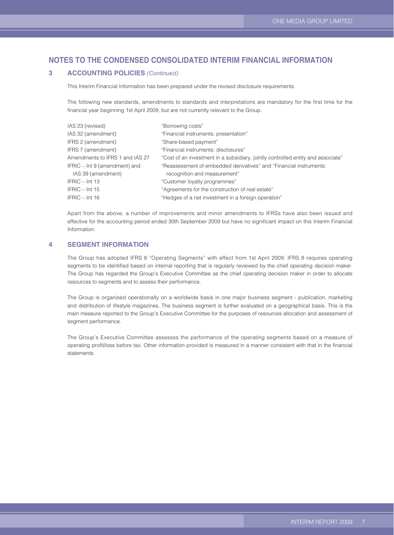#### **3 ACCOUNTING POLICIES** *(Continued)*

This Interim Financial Information has been prepared under the revised disclosure requirements.

The following new standards, amendments to standards and interpretations are mandatory for the first time for the financial year beginning 1st April 2009, but are not currently relevant to the Group.

| IAS 23 (revised)                | "Borrowing costs"                                                                |
|---------------------------------|----------------------------------------------------------------------------------|
| IAS 32 (amendment)              | "Financial instruments: presentation"                                            |
| IFRS 2 (amendment)              | "Share-based payment"                                                            |
| IFRS 7 (amendment)              | "Financial instruments: disclosures"                                             |
| Amendments to IFRS 1 and IAS 27 | "Cost of an investment in a subsidiary, jointly controlled entity and associate" |
| IFRIC - Int 9 (amendment) and   | "Reassessment of embedded derivatives" and "Financial instruments:               |
| IAS 39 (amendment)              | recognition and measurement"                                                     |
| IFRIC - Int 13                  | "Customer loyalty programmes"                                                    |
| $IFRIC - Int 15$                | "Agreements for the construction of real estate"                                 |
| IFRIC - Int 16                  | "Hedges of a net investment in a foreign operation"                              |
|                                 |                                                                                  |

Apart from the above, a number of improvements and minor amendments to IFRSs have also been issued and effective for the accounting period ended 30th September 2009 but have no significant impact on this Interim Financial Information.

### **4 SEGMENT INFORMATION**

The Group has adopted IFRS 8 "Operating Segments" with effect from 1st April 2009. IFRS 8 requires operating segments to be identified based on internal reporting that is regularly reviewed by the chief operating decision maker. The Group has regarded the Group's Executive Committee as the chief operating decision maker in order to allocate resources to segments and to assess their performance.

The Group is organised operationally on a worldwide basis in one major business segment - publication, marketing and distribution of lifestyle magazines. The business segment is further evaluated on a geographical basis. This is the main measure reported to the Group's Executive Committee for the purposes of resources allocation and assessment of segment performance.

The Group's Executive Committee assesses the performance of the operating segments based on a measure of operating profit/loss before tax. Other information provided is measured in a manner consistent with that in the financial statements.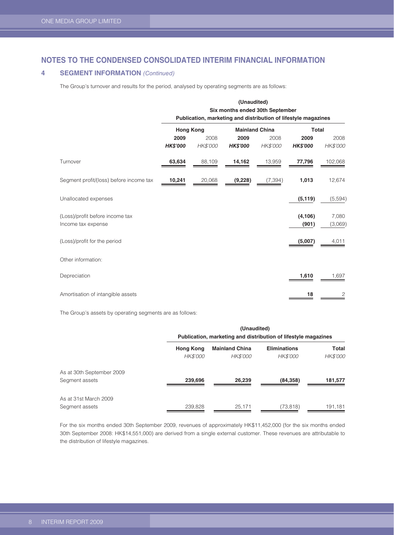### **4 SEGMENT INFORMATION** *(Continued)*

The Group's turnover and results for the period, analysed by operating segments are as follows:

|                                                       | (Unaudited)<br>Six months ended 30th September<br>Publication, marketing and distribution of lifestyle magazines |                  |                         |                       |                         |                  |
|-------------------------------------------------------|------------------------------------------------------------------------------------------------------------------|------------------|-------------------------|-----------------------|-------------------------|------------------|
|                                                       | <b>Hong Kong</b>                                                                                                 |                  |                         | <b>Mainland China</b> | Total                   |                  |
|                                                       | 2009<br><b>HK\$'000</b>                                                                                          | 2008<br>HK\$'000 | 2009<br><b>HK\$'000</b> | 2008<br>HK\$'000      | 2009<br><b>HK\$'000</b> | 2008<br>HK\$'000 |
| Turnover                                              | 63,634                                                                                                           | 88,109           | 14,162                  | 13,959                | 77,796                  | 102,068          |
| Segment profit/(loss) before income tax               | 10,241                                                                                                           | 20,068           | (9,228)                 | (7, 394)              | 1,013                   | 12,674           |
| Unallocated expenses                                  |                                                                                                                  |                  |                         |                       | (5, 119)                | (5, 594)         |
| (Loss)/profit before income tax<br>Income tax expense |                                                                                                                  |                  |                         |                       | (4, 106)<br>(901)       | 7,080<br>(3,069) |
| (Loss)/profit for the period                          |                                                                                                                  |                  |                         |                       | (5,007)                 | 4,011            |
| Other information:                                    |                                                                                                                  |                  |                         |                       |                         |                  |
| Depreciation                                          |                                                                                                                  |                  |                         |                       | 1,610                   | 1,697            |
| Amortisation of intangible assets                     |                                                                                                                  |                  |                         |                       | 18                      | 2                |

The Group's assets by operating segments are as follows:

|                           | (Unaudited)<br>Publication, marketing and distribution of lifestyle magazines |                       |                     |          |
|---------------------------|-------------------------------------------------------------------------------|-----------------------|---------------------|----------|
|                           | <b>Hong Kong</b>                                                              | <b>Mainland China</b> | <b>Eliminations</b> | Total    |
|                           | HK\$'000                                                                      | HK\$'000              | <b>HK\$'000</b>     | HK\$'000 |
| As at 30th September 2009 |                                                                               |                       |                     |          |
| Segment assets            | 239,696                                                                       | 26,239                | (84,358)            | 181,577  |
| As at 31st March 2009     |                                                                               |                       |                     |          |
| Segment assets            | 239,828                                                                       | 25.171                | (73, 818)           | 191,181  |

For the six months ended 30th September 2009, revenues of approximately HK\$11,452,000 (for the six months ended 30th September 2008: HK\$14,551,000) are derived from a single external customer. These revenues are attributable to the distribution of lifestyle magazines.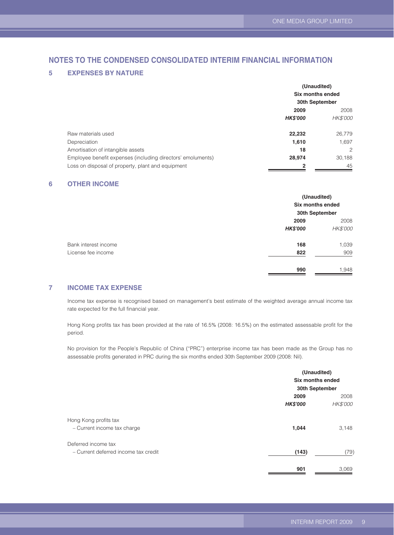#### **5 EXPENSES BY NATURE**

|                                                             | (Unaudited)<br>Six months ended |          |
|-------------------------------------------------------------|---------------------------------|----------|
|                                                             |                                 |          |
|                                                             | 30th September                  |          |
|                                                             | 2009                            | 2008     |
|                                                             | <b>HK\$'000</b>                 | HK\$'000 |
| Raw materials used                                          | 22,232                          | 26,779   |
| Depreciation                                                | 1,610                           | 1,697    |
| Amortisation of intangible assets                           | 18                              | 2        |
| Employee benefit expenses (including directors' emoluments) | 28,974                          | 30,188   |
| Loss on disposal of property, plant and equipment           | 2                               | 45       |

#### **6 OTHER INCOME**

|                      | (Unaudited)<br>Six months ended<br>30th September |          |
|----------------------|---------------------------------------------------|----------|
|                      | 2009                                              |          |
|                      | <b>HK\$'000</b>                                   | HK\$'000 |
| Bank interest income | 168                                               | 1,039    |
| License fee income   | 822                                               | 909      |
|                      | 990                                               | 1,948    |

#### **7 INCOME TAX EXPENSE**

Income tax expense is recognised based on management's best estimate of the weighted average annual income tax rate expected for the full financial year.

Hong Kong profits tax has been provided at the rate of 16.5% (2008: 16.5%) on the estimated assessable profit for the period.

No provision for the People's Republic of China ("PRC") enterprise income tax has been made as the Group has no assessable profits generated in PRC during the six months ended 30th September 2009 (2008: Nil).

|                 | (Unaudited)      |  |
|-----------------|------------------|--|
|                 | Six months ended |  |
|                 | 30th September   |  |
| 2009            | 2008             |  |
| <b>HK\$'000</b> | <b>HK\$'000</b>  |  |
|                 |                  |  |
| 1,044           | 3,148            |  |
|                 |                  |  |
| (143)           | (79)             |  |
|                 | 3,069            |  |
|                 | 901              |  |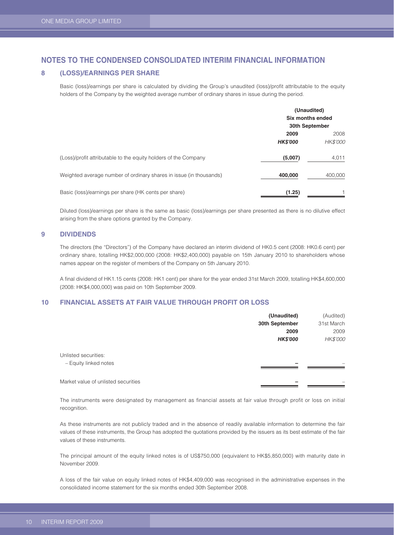#### **8 (LOSS)/EARNINGS PER SHARE**

Basic (loss)/earnings per share is calculated by dividing the Group's unaudited (loss)/profit attributable to the equity holders of the Company by the weighted average number of ordinary shares in issue during the period.

|                                                                    | (Unaudited)<br>Six months ended<br>30th September |                         |
|--------------------------------------------------------------------|---------------------------------------------------|-------------------------|
|                                                                    | 2009<br><b>HK\$'000</b>                           | 2008<br><b>HK\$'000</b> |
| (Loss)/profit attributable to the equity holders of the Company    | (5,007)                                           | 4,011                   |
| Weighted average number of ordinary shares in issue (in thousands) | 400,000                                           | 400,000                 |
| Basic (loss)/earnings per share (HK cents per share)               | (1.25)                                            |                         |

Diluted (loss)/earnings per share is the same as basic (loss)/earnings per share presented as there is no dilutive effect arising from the share options granted by the Company.

#### **9 DIVIDENDS**

The directors (the "Directors") of the Company have declared an interim dividend of HK0.5 cent (2008: HK0.6 cent) per ordinary share, totalling HK\$2,000,000 (2008: HK\$2,400,000) payable on 15th January 2010 to shareholders whose names appear on the register of members of the Company on 5th January 2010.

A final dividend of HK1.15 cents (2008: HK1 cent) per share for the year ended 31st March 2009, totalling HK\$4,600,000 (2008: HK\$4,000,000) was paid on 10th September 2009.

#### **10 FINANCIAL ASSETS AT FAIR VALUE THROUGH PROFIT OR LOSS**

|                                     | (Unaudited)     | (Audited)  |
|-------------------------------------|-----------------|------------|
|                                     | 30th September  | 31st March |
|                                     | 2009            | 2009       |
|                                     | <b>HK\$'000</b> | HK\$'000   |
| Unlisted securities:                |                 |            |
| - Equity linked notes               |                 |            |
|                                     |                 |            |
| Market value of unlisted securities |                 |            |

The instruments were designated by management as financial assets at fair value through profit or loss on initial recognition.

As these instruments are not publicly traded and in the absence of readily available information to determine the fair values of these instruments, the Group has adopted the quotations provided by the issuers as its best estimate of the fair values of these instruments.

The principal amount of the equity linked notes is of US\$750,000 (equivalent to HK\$5,850,000) with maturity date in November 2009.

A loss of the fair value on equity linked notes of HK\$4,409,000 was recognised in the administrative expenses in the consolidated income statement for the six months ended 30th September 2008.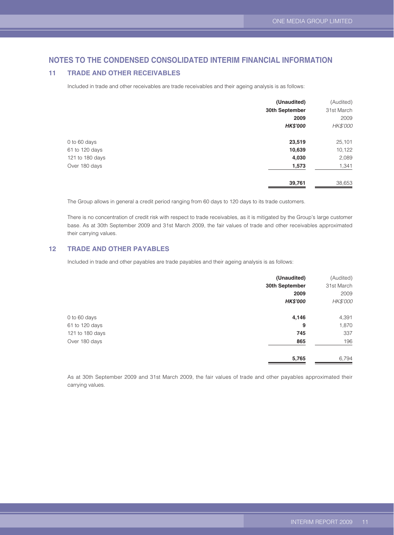#### **11 TRADE AND OTHER RECEIVABLES**

Included in trade and other receivables are trade receivables and their ageing analysis is as follows:

|                 | (Unaudited)     | (Audited)  |
|-----------------|-----------------|------------|
|                 | 30th September  | 31st March |
|                 | 2009            | 2009       |
|                 | <b>HK\$'000</b> | HK\$'000   |
| 0 to 60 days    | 23,519          | 25,101     |
| 61 to 120 days  | 10,639          | 10,122     |
| 121 to 180 days | 4,030           | 2,089      |
| Over 180 days   | 1,573           | 1,341      |
|                 | 39,761          | 38,653     |

The Group allows in general a credit period ranging from 60 days to 120 days to its trade customers.

There is no concentration of credit risk with respect to trade receivables, as it is mitigated by the Group's large customer base. As at 30th September 2009 and 31st March 2009, the fair values of trade and other receivables approximated their carrying values.

### **12 TRADE AND OTHER PAYABLES**

Included in trade and other payables are trade payables and their ageing analysis is as follows:

|                 | (Unaudited)     | (Audited)  |
|-----------------|-----------------|------------|
|                 | 30th September  | 31st March |
|                 | 2009            | 2009       |
|                 | <b>HK\$'000</b> | HK\$'000   |
| 0 to 60 days    | 4,146           | 4,391      |
| 61 to 120 days  | 9               | 1,870      |
| 121 to 180 days | 745             | 337        |
| Over 180 days   | 865             | 196        |
|                 | 5,765           | 6,794      |

As at 30th September 2009 and 31st March 2009, the fair values of trade and other payables approximated their carrying values.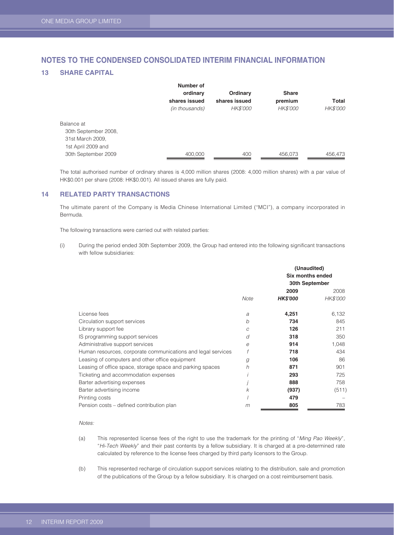#### **13 SHARE CAPITAL**

|                      | Number of      |               |              |          |
|----------------------|----------------|---------------|--------------|----------|
|                      | ordinary       | Ordinary      | <b>Share</b> |          |
|                      | shares issued  | shares issued | premium      | Total    |
|                      | (in thousands) | HK\$'000      | HK\$'000     | HK\$'000 |
| Balance at           |                |               |              |          |
| 30th September 2008. |                |               |              |          |
| 31st March 2009,     |                |               |              |          |
| 1st April 2009 and   |                |               |              |          |
| 30th September 2009  | 400.000        | 400           | 456.073      | 456.473  |

The total authorised number of ordinary shares is 4,000 million shares (2008: 4,000 million shares) with a par value of HK\$0.001 per share (2008: HK\$0.001). All issued shares are fully paid.

#### **14 RELATED PARTY TRANSACTIONS**

The ultimate parent of the Company is Media Chinese International Limited ("MCI"), a company incorporated in Bermuda.

The following transactions were carried out with related parties:

(i) During the period ended 30th September 2009, the Group had entered into the following significant transactions with fellow subsidiaries:

|                                                              |      | (Unaudited)<br>Six months ended<br>30th September |                         |  |
|--------------------------------------------------------------|------|---------------------------------------------------|-------------------------|--|
|                                                              | Note | 2009<br><b>HK\$'000</b>                           | 2008<br><b>HK\$'000</b> |  |
| License fees                                                 | a    | 4,251                                             | 6,132                   |  |
| Circulation support services                                 | b    | 734                                               | 845                     |  |
| Library support fee                                          | C    | 126                                               | 211                     |  |
| IS programming support services                              | d    | 318                                               | 350                     |  |
| Administrative support services                              | e    | 914                                               | 1,048                   |  |
| Human resources, corporate communications and legal services |      | 718                                               | 434                     |  |
| Leasing of computers and other office equipment              | g    | 106                                               | 86                      |  |
| Leasing of office space, storage space and parking spaces    | h    | 871                                               | 901                     |  |
| Ticketing and accommodation expenses                         |      | 293                                               | 725                     |  |
| Barter advertising expenses                                  |      | 888                                               | 758                     |  |
| Barter advertising income                                    | k    | (937)                                             | (511)                   |  |
| Printing costs                                               |      | 479                                               |                         |  |
| Pension costs – defined contribution plan                    | m    | 805                                               | 783                     |  |

#### *Notes:*

- (a) This represented license fees of the right to use the trademark for the printing of "*Ming Pao Weekly*"*,*  "*Hi-Tech Weekly*" and their past contents by a fellow subsidiary. It is charged at a pre-determined rate calculated by reference to the license fees charged by third party licensors to the Group.
- (b) This represented recharge of circulation support services relating to the distribution, sale and promotion of the publications of the Group by a fellow subsidiary. It is charged on a cost reimbursement basis.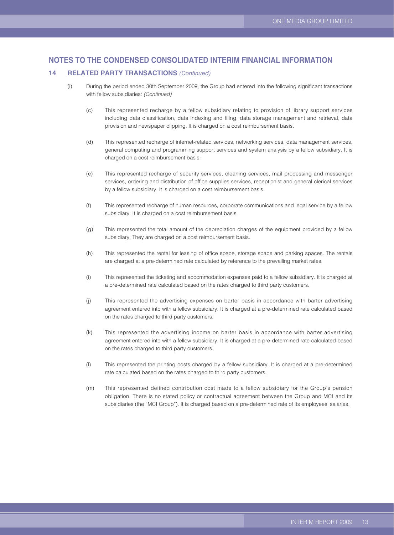#### **14 RELATED PARTY TRANSACTIONS** *(Continued)*

- (i) During the period ended 30th September 2009, the Group had entered into the following significant transactions with fellow subsidiaries: *(Continued)*
	- (c) This represented recharge by a fellow subsidiary relating to provision of library support services including data classification, data indexing and filing, data storage management and retrieval, data provision and newspaper clipping. It is charged on a cost reimbursement basis.
	- (d) This represented recharge of internet-related services, networking services, data management services, general computing and programming support services and system analysis by a fellow subsidiary. It is charged on a cost reimbursement basis.
	- (e) This represented recharge of security services, cleaning services, mail processing and messenger services, ordering and distribution of office supplies services, receptionist and general clerical services by a fellow subsidiary. It is charged on a cost reimbursement basis.
	- (f) This represented recharge of human resources, corporate communications and legal service by a fellow subsidiary. It is charged on a cost reimbursement basis.
	- (g) This represented the total amount of the depreciation charges of the equipment provided by a fellow subsidiary. They are charged on a cost reimbursement basis.
	- (h) This represented the rental for leasing of office space, storage space and parking spaces. The rentals are charged at a pre-determined rate calculated by reference to the prevailing market rates.
	- (i) This represented the ticketing and accommodation expenses paid to a fellow subsidiary. It is charged at a pre-determined rate calculated based on the rates charged to third party customers.
	- (j) This represented the advertising expenses on barter basis in accordance with barter advertising agreement entered into with a fellow subsidiary. It is charged at a pre-determined rate calculated based on the rates charged to third party customers.
	- (k) This represented the advertising income on barter basis in accordance with barter advertising agreement entered into with a fellow subsidiary. It is charged at a pre-determined rate calculated based on the rates charged to third party customers.
	- (l) This represented the printing costs charged by a fellow subsidiary. It is charged at a pre-determined rate calculated based on the rates charged to third party customers.
	- (m) This represented defined contribution cost made to a fellow subsidiary for the Group's pension obligation. There is no stated policy or contractual agreement between the Group and MCI and its subsidiaries (the "MCI Group"). It is charged based on a pre-determined rate of its employees' salaries.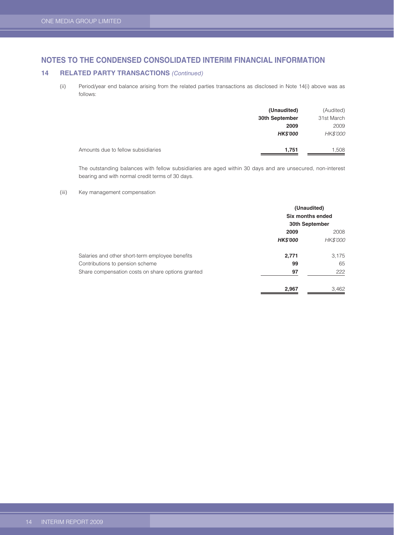#### **14 RELATED PARTY TRANSACTIONS** *(Continued)*

(ii) Period/year end balance arising from the related parties transactions as disclosed in Note 14(i) above was as follows:

|                                    | (Unaudited)     | (Audited)  |
|------------------------------------|-----------------|------------|
|                                    | 30th September  | 31st March |
|                                    | 2009            | 2009       |
|                                    | <b>HK\$'000</b> | HK\$'000   |
| Amounts due to fellow subsidiaries | 1,751           | 1,508      |

The outstanding balances with fellow subsidiaries are aged within 30 days and are unsecured, non-interest bearing and with normal credit terms of 30 days.

#### (iii) Key management compensation

|                                                   | (Unaudited)<br>Six months ended<br>30th September |          |  |
|---------------------------------------------------|---------------------------------------------------|----------|--|
|                                                   | 2009<br>2008                                      |          |  |
|                                                   | <b>HK\$'000</b>                                   | HK\$'000 |  |
| Salaries and other short-term employee benefits   | 2,771                                             | 3.175    |  |
| Contributions to pension scheme                   | 99                                                | 65       |  |
| Share compensation costs on share options granted | 97                                                | 222      |  |
|                                                   | 2,967                                             | 3,462    |  |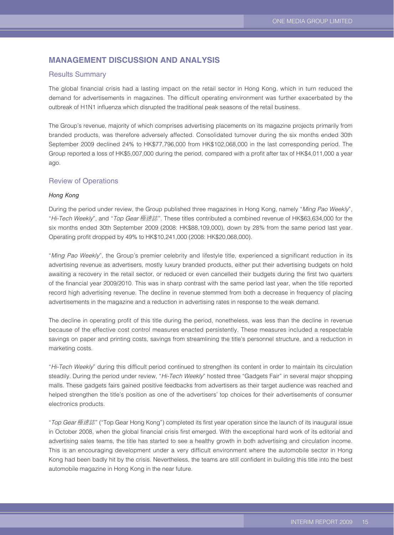## **MANAGEMENT DISCUSSION AND ANALYSIS**

#### Results Summary

The global financial crisis had a lasting impact on the retail sector in Hong Kong, which in turn reduced the demand for advertisements in magazines. The difficult operating environment was further exacerbated by the outbreak of H1N1 influenza which disrupted the traditional peak seasons of the retail business.

The Group's revenue, majority of which comprises advertising placements on its magazine projects primarily from branded products, was therefore adversely affected. Consolidated turnover during the six months ended 30th September 2009 declined 24% to HK\$77,796,000 from HK\$102,068,000 in the last corresponding period. The Group reported a loss of HK\$5,007,000 during the period, compared with a profit after tax of HK\$4,011,000 a year ago.

#### Review of Operations

#### *Hong Kong*

During the period under review, the Group published three magazines in Hong Kong, namely "*Ming Pao Weekly*", "*Hi-Tech Weekly*", and "*Top Gear* 極速誌". These titles contributed a combined revenue of HK\$63,634,000 for the six months ended 30th September 2009 (2008: HK\$88,109,000), down by 28% from the same period last year. Operating profit dropped by 49% to HK\$10,241,000 (2008: HK\$20,068,000).

"*Ming Pao Weekly*", the Group's premier celebrity and lifestyle title, experienced a significant reduction in its advertising revenue as advertisers, mostly luxury branded products, either put their advertising budgets on hold awaiting a recovery in the retail sector, or reduced or even cancelled their budgets during the first two quarters of the financial year 2009/2010. This was in sharp contrast with the same period last year, when the title reported record high advertising revenue. The decline in revenue stemmed from both a decrease in frequency of placing advertisements in the magazine and a reduction in advertising rates in response to the weak demand.

The decline in operating profit of this title during the period, nonetheless, was less than the decline in revenue because of the effective cost control measures enacted persistently. These measures included a respectable savings on paper and printing costs, savings from streamlining the title's personnel structure, and a reduction in marketing costs.

"*Hi-Tech Weekly*" during this difficult period continued to strengthen its content in order to maintain its circulation steadily. During the period under review, "*Hi-Tech Weekly*" hosted three "Gadgets Fair" in several major shopping malls. These gadgets fairs gained positive feedbacks from advertisers as their target audience was reached and helped strengthen the title's position as one of the advertisers' top choices for their advertisements of consumer electronics products.

"*Top Gear*極速誌" ("Top Gear Hong Kong") completed its first year operation since the launch of its inaugural issue in October 2008, when the global financial crisis first emerged. With the exceptional hard work of its editorial and advertising sales teams, the title has started to see a healthy growth in both advertising and circulation income. This is an encouraging development under a very difficult environment where the automobile sector in Hong Kong had been badly hit by the crisis. Nevertheless, the teams are still confident in building this title into the best automobile magazine in Hong Kong in the near future.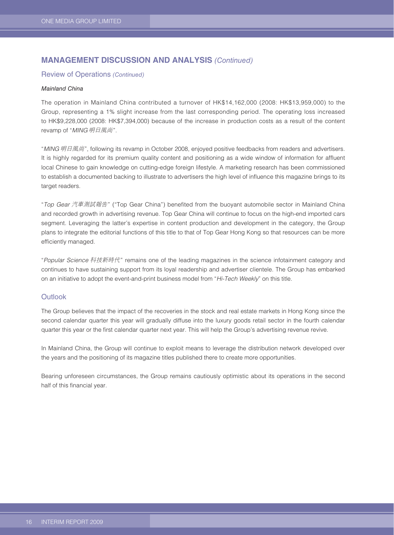## **MANAGEMENT DISCUSSION AND ANALYSIS** *(Continued)*

## Review of Operations *(Continued)*

#### *Mainland China*

The operation in Mainland China contributed a turnover of HK\$14,162,000 (2008: HK\$13,959,000) to the Group, representing a 1% slight increase from the last corresponding period. The operating loss increased to HK\$9,228,000 (2008: HK\$7,394,000) because of the increase in production costs as a result of the content revamp of "*MING* 明日風尚".

"*MING* 明日風尚", following its revamp in October 2008, enjoyed positive feedbacks from readers and advertisers. It is highly regarded for its premium quality content and positioning as a wide window of information for affluent local Chinese to gain knowledge on cutting-edge foreign lifestyle. A marketing research has been commissioned to establish a documented backing to illustrate to advertisers the high level of influence this magazine brings to its target readers.

"*Top Gear* 汽車測試報告" ("Top Gear China") benefited from the buoyant automobile sector in Mainland China and recorded growth in advertising revenue. Top Gear China will continue to focus on the high-end imported cars segment. Leveraging the latter's expertise in content production and development in the category, the Group plans to integrate the editorial functions of this title to that of Top Gear Hong Kong so that resources can be more efficiently managed.

"*Popular Science* 科技新時代" remains one of the leading magazines in the science infotainment category and continues to have sustaining support from its loyal readership and advertiser clientele. The Group has embarked on an initiative to adopt the event-and-print business model from "*Hi-Tech Weekly*" on this title.

#### **Outlook**

The Group believes that the impact of the recoveries in the stock and real estate markets in Hong Kong since the second calendar quarter this year will gradually diffuse into the luxury goods retail sector in the fourth calendar quarter this year or the first calendar quarter next year. This will help the Group's advertising revenue revive.

In Mainland China, the Group will continue to exploit means to leverage the distribution network developed over the years and the positioning of its magazine titles published there to create more opportunities.

Bearing unforeseen circumstances, the Group remains cautiously optimistic about its operations in the second half of this financial year.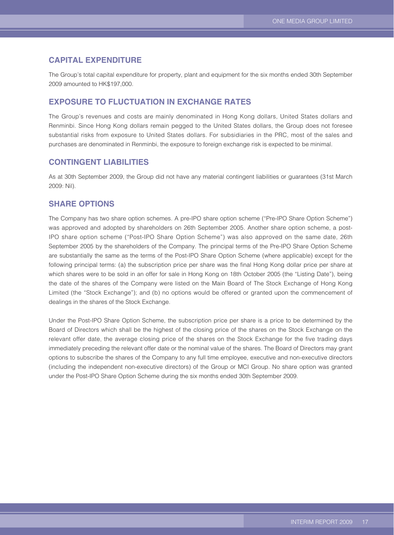## **CAPITAL EXPENDITURE**

The Group's total capital expenditure for property, plant and equipment for the six months ended 30th September 2009 amounted to HK\$197,000.

## **EXPOSURE TO FLUCTUATION IN EXCHANGE RATES**

The Group's revenues and costs are mainly denominated in Hong Kong dollars, United States dollars and Renminbi. Since Hong Kong dollars remain pegged to the United States dollars, the Group does not foresee substantial risks from exposure to United States dollars. For subsidiaries in the PRC, most of the sales and purchases are denominated in Renminbi, the exposure to foreign exchange risk is expected to be minimal.

## **CONTINGENT LIABILITIES**

As at 30th September 2009, the Group did not have any material contingent liabilities or guarantees (31st March 2009: Nil).

## **SHARE OPTIONS**

The Company has two share option schemes. A pre-IPO share option scheme ("Pre-IPO Share Option Scheme") was approved and adopted by shareholders on 26th September 2005. Another share option scheme, a post-IPO share option scheme ("Post-IPO Share Option Scheme") was also approved on the same date, 26th September 2005 by the shareholders of the Company. The principal terms of the Pre-IPO Share Option Scheme are substantially the same as the terms of the Post-IPO Share Option Scheme (where applicable) except for the following principal terms: (a) the subscription price per share was the final Hong Kong dollar price per share at which shares were to be sold in an offer for sale in Hong Kong on 18th October 2005 (the "Listing Date"), being the date of the shares of the Company were listed on the Main Board of The Stock Exchange of Hong Kong Limited (the "Stock Exchange"); and (b) no options would be offered or granted upon the commencement of dealings in the shares of the Stock Exchange.

Under the Post-IPO Share Option Scheme, the subscription price per share is a price to be determined by the Board of Directors which shall be the highest of the closing price of the shares on the Stock Exchange on the relevant offer date, the average closing price of the shares on the Stock Exchange for the five trading days immediately preceding the relevant offer date or the nominal value of the shares. The Board of Directors may grant options to subscribe the shares of the Company to any full time employee, executive and non-executive directors (including the independent non-executive directors) of the Group or MCI Group. No share option was granted under the Post-IPO Share Option Scheme during the six months ended 30th September 2009.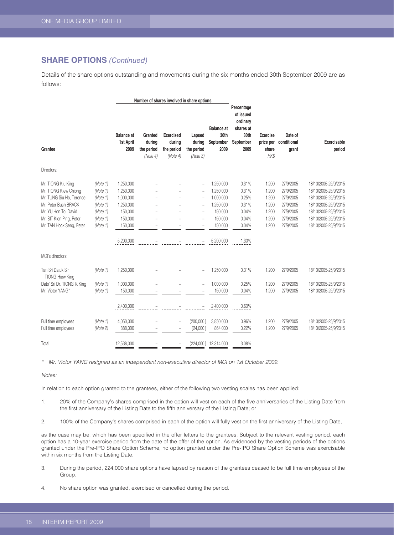## **SHARE OPTIONS** *(Continued)*

Details of the share options outstanding and movements during the six months ended 30th September 2009 are as follows:

|                                             |          | Number of shares involved in share options |                                             |                                                      |                                           |                                                |                                                                               |                                               |                                 |                              |
|---------------------------------------------|----------|--------------------------------------------|---------------------------------------------|------------------------------------------------------|-------------------------------------------|------------------------------------------------|-------------------------------------------------------------------------------|-----------------------------------------------|---------------------------------|------------------------------|
| Grantee                                     |          | <b>Balance</b> at<br>1st April<br>2009     | Granted<br>during<br>the period<br>(Note 4) | <b>Exercised</b><br>during<br>the period<br>(Note 4) | Lapsed<br>during<br>the period<br>(Note3) | <b>Balance</b> at<br>30th<br>September<br>2009 | Percentage<br>of issued<br>ordinary<br>shares at<br>30th<br>September<br>2009 | <b>Exercise</b><br>price per<br>share<br>HK\$ | Date of<br>conditional<br>grant | <b>Exercisable</b><br>period |
| Directors:                                  |          |                                            |                                             |                                                      |                                           |                                                |                                                                               |                                               |                                 |                              |
| Mr. TIONG Kiu King                          | (Note 1) | 1,250,000                                  |                                             |                                                      |                                           | 1,250,000                                      | 0.31%                                                                         | 1.200                                         | 27/9/2005                       | 18/10/2005-25/9/2015         |
| Mr. TIONG Kiew Chiong                       | (Note 1) | 1,250,000                                  |                                             |                                                      |                                           | 1,250,000                                      | 0.31%                                                                         | 1.200                                         | 27/9/2005                       | 18/10/2005-25/9/2015         |
| Mr. TUNG Siu Ho, Terence                    | (Note 1) | 1,000,000                                  |                                             |                                                      |                                           | 1,000,000                                      | 0.25%                                                                         | 1.200                                         | 27/9/2005                       | 18/10/2005-25/9/2015         |
| Mr. Peter Bush BRACK                        | (Note 1) | 1,250,000                                  |                                             |                                                      |                                           | 1,250,000                                      | 0.31%                                                                         | 1.200                                         | 27/9/2005                       | 18/10/2005-25/9/2015         |
| Mr. YU Hon To, David                        | (Note 1) | 150,000                                    |                                             |                                                      |                                           | 150,000                                        | 0.04%                                                                         | 1.200                                         | 27/9/2005                       | 18/10/2005-25/9/2015         |
| Mr. SIT Kien Ping, Peter                    | (Note 1) | 150,000                                    |                                             |                                                      | $\overline{\phantom{a}}$                  | 150,000                                        | 0.04%                                                                         | 1.200                                         | 27/9/2005                       | 18/10/2005-25/9/2015         |
| Mr. TAN Hock Seng, Peter                    | (Note 1) | 150,000                                    |                                             |                                                      |                                           | 150,000                                        | 0.04%                                                                         | 1.200                                         | 27/9/2005                       | 18/10/2005-25/9/2015         |
|                                             |          | 5,200,000                                  |                                             |                                                      |                                           | 5,200,000                                      | 1.30%                                                                         |                                               |                                 |                              |
| MCI's directors:                            |          |                                            |                                             |                                                      |                                           |                                                |                                                                               |                                               |                                 |                              |
| Tan Sri Datuk Sir<br><b>TIONG Hiew King</b> | (Note 1) | 1,250,000                                  |                                             |                                                      |                                           | 1,250,000                                      | 0.31%                                                                         | 1.200                                         | 27/9/2005                       | 18/10/2005-25/9/2015         |
| Dato' Sri Dr. TIONG Ik King                 | (Note 1) | 1,000,000                                  |                                             |                                                      |                                           | 1,000,000                                      | 0.25%                                                                         | 1.200                                         | 27/9/2005                       | 18/10/2005-25/9/2015         |
| Mr. Victor YANG*                            | (Note 1) | 150,000                                    |                                             |                                                      |                                           | 150,000                                        | 0.04%                                                                         | 1.200                                         | 27/9/2005                       | 18/10/2005-25/9/2015         |
|                                             |          | 2,400,000                                  |                                             |                                                      |                                           | 2,400,000                                      | 0.60%                                                                         |                                               |                                 |                              |
| Full time employees                         | (Note 1) | 4,050,000                                  |                                             | $\overline{a}$                                       | (200,000)                                 | 3,850,000                                      | 0.96%                                                                         | 1.200                                         | 27/9/2005                       | 18/10/2005-25/9/2015         |
| Full time employees                         | (Note 2) | 888,000                                    |                                             |                                                      | (24,000)                                  | 864,000                                        | 0.22%                                                                         | 1.200                                         | 27/9/2005                       | 18/10/2005-25/9/2015         |
| Total                                       |          | 12,538,000                                 |                                             |                                                      | (224,000)                                 | 12,314,000                                     | 3.08%                                                                         |                                               |                                 |                              |

*\* Mr. Victor YANG resigned as an independent non-executive director of MCI on 1st October 2009.*

*Notes:*

In relation to each option granted to the grantees, either of the following two vesting scales has been applied:

- 1. 20% of the Company's shares comprised in the option will vest on each of the five anniversaries of the Listing Date from the first anniversary of the Listing Date to the fifth anniversary of the Listing Date; or
- 2. 100% of the Company's shares comprised in each of the option will fully vest on the first anniversary of the Listing Date,

as the case may be, which has been specified in the offer letters to the grantees. Subject to the relevant vesting period, each option has a 10-year exercise period from the date of the offer of the option. As evidenced by the vesting periods of the options granted under the Pre-IPO Share Option Scheme, no option granted under the Pre-IPO Share Option Scheme was exercisable within six months from the Listing Date.

- 3. During the period, 224,000 share options have lapsed by reason of the grantees ceased to be full time employees of the Group.
- 4. No share option was granted, exercised or cancelled during the period.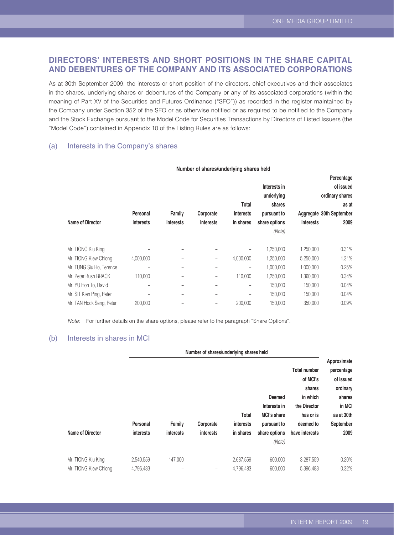## **DIRECTORS' INTERESTS AND SHORT POSITIONS IN THE SHARE CAPITAL AND DEBENTURES OF THE COMPANY AND ITS ASSOCIATED CORPORATIONS**

As at 30th September 2009, the interests or short position of the directors, chief executives and their associates in the shares, underlying shares or debentures of the Company or any of its associated corporations (within the meaning of Part XV of the Securities and Futures Ordinance ("SFO")) as recorded in the register maintained by the Company under Section 352 of the SFO or as otherwise notified or as required to be notified to the Company and the Stock Exchange pursuant to the Model Code for Securities Transactions by Directors of Listed Issuers (the "Model Code") contained in Appendix 10 of the Listing Rules are as follows:

#### (a) Interests in the Company's shares

|                          | Number of shares/underlying shares held |                            |                               |                        |                                      |                  |                                                     |
|--------------------------|-----------------------------------------|----------------------------|-------------------------------|------------------------|--------------------------------------|------------------|-----------------------------------------------------|
|                          |                                         |                            |                               | Total                  | Interests in<br>underlying<br>shares |                  | Percentage<br>of issued<br>ordinary shares<br>as at |
| Name of Director         | Personal<br><b>interests</b>            | Family<br><b>interests</b> | Corporate<br><i>interests</i> | interests<br>in shares | pursuant to<br>share options         | <b>interests</b> | Aggregate 30th September<br>2009                    |
|                          |                                         |                            |                               |                        | (Note)                               |                  |                                                     |
| Mr. TIONG Kiu King       |                                         |                            |                               |                        | 1,250,000                            | 1,250,000        | 0.31%                                               |
| Mr. TIONG Kiew Chiong    | 4,000,000                               | $\overline{\phantom{0}}$   | $\overline{\phantom{m}}$      | 4,000,000              | 1,250,000                            | 5,250,000        | 1.31%                                               |
| Mr. TUNG Siu Ho, Terence |                                         |                            | $\qquad \qquad -$             | -                      | 1,000,000                            | 1,000,000        | 0.25%                                               |
| Mr. Peter Bush BRACK     | 110,000                                 | -                          | $\overline{\phantom{0}}$      | 110,000                | 1,250,000                            | 1,360,000        | 0.34%                                               |
| Mr. YU Hon To, David     |                                         | -                          | $\qquad \qquad -$             | -                      | 150,000                              | 150,000          | $0.04\%$                                            |
| Mr. SIT Kien Ping, Peter |                                         |                            | -                             |                        | 150,000                              | 150,000          | 0.04%                                               |
| Mr. TAN Hock Seng, Peter | 200,000                                 |                            |                               | 200,000                | 150,000                              | 350,000          | 0.09%                                               |

*Note:* For further details on the share options, please refer to the paragraph "Share Options".

### (b) Interests in shares in MCI

|                       |           | Number of shares/underlying shares held |                          |           |                    |                                 |                                        |
|-----------------------|-----------|-----------------------------------------|--------------------------|-----------|--------------------|---------------------------------|----------------------------------------|
|                       |           |                                         |                          |           |                    | <b>Total number</b><br>of MCI's | Approximate<br>percentage<br>of issued |
|                       |           |                                         |                          |           |                    | shares                          | ordinary                               |
|                       |           |                                         |                          |           | Deemed             | in which                        | shares                                 |
|                       |           |                                         |                          |           | Interests in       | the Director                    | in MCI                                 |
|                       |           |                                         |                          | Total     | <b>MCI's share</b> | has or is                       | as at 30th                             |
|                       | Personal  | Family                                  | Corporate                | interests | pursuant to        | deemed to                       | September                              |
| Name of Director      | interests | <b>interests</b>                        | <b>interests</b>         | in shares | share options      | have interests                  | 2009                                   |
|                       |           |                                         |                          |           | (Note)             |                                 |                                        |
| Mr. TIONG Kiu King    | 2,540,559 | 147,000                                 | $\overline{\phantom{m}}$ | 2,687,559 | 600,000            | 3,287,559                       | 0.20%                                  |
| Mr. TIONG Kiew Chiong | 4.796.483 |                                         | $\qquad \qquad -$        | 4,796,483 | 600,000            | 5,396,483                       | 0.32%                                  |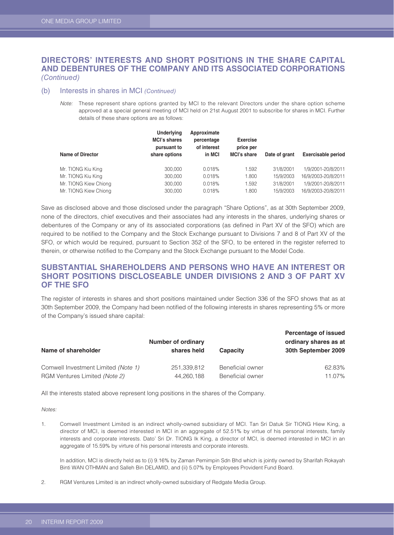## **DIRECTORS' INTERESTS AND SHORT POSITIONS IN THE SHARE CAPITAL AND DEBENTURES OF THE COMPANY AND ITS ASSOCIATED CORPORATIONS**  *(Continued)*

#### (b) Interests in shares in MCI *(Continued)*

*Note:* These represent share options granted by MCI to the relevant Directors under the share option scheme approved at a special general meeting of MCI held on 21st August 2001 to subscribe for shares in MCI. Further details of these share options are as follows:

| <b>Name of Director</b> | <b>Underlying</b><br><b>MCI's shares</b><br>pursuant to<br>share options | Approximate<br>percentage<br>of interest<br>in MCI | <b>Exercise</b><br>price per<br><b>MCI's share</b> | Date of grant | <b>Exercisable period</b> |
|-------------------------|--------------------------------------------------------------------------|----------------------------------------------------|----------------------------------------------------|---------------|---------------------------|
| Mr. TIONG Kiu King      | 300.000                                                                  | 0.018%                                             | 1.592                                              | 31/8/2001     | 1/9/2001-20/8/2011        |
| Mr. TIONG Kiu King      | 300.000                                                                  | 0.018%                                             | 1.800                                              | 15/9/2003     | 16/9/2003-20/8/2011       |
| Mr. TIONG Kiew Chiong   | 300,000                                                                  | 0.018%                                             | 1.592                                              | 31/8/2001     | 1/9/2001-20/8/2011        |
| Mr. TIONG Kiew Chiong   | 300,000                                                                  | 0.018%                                             | 1.800                                              | 15/9/2003     | 16/9/2003-20/8/2011       |

Save as disclosed above and those disclosed under the paragraph "Share Options", as at 30th September 2009, none of the directors, chief executives and their associates had any interests in the shares, underlying shares or debentures of the Company or any of its associated corporations (as defined in Part XV of the SFO) which are required to be notified to the Company and the Stock Exchange pursuant to Divisions 7 and 8 of Part XV of the SFO, or which would be required, pursuant to Section 352 of the SFO, to be entered in the register referred to therein, or otherwise notified to the Company and the Stock Exchange pursuant to the Model Code.

## **SUBSTANTIAL SHAREHOLDERS AND PERSONS WHO HAVE AN INTEREST OR SHORT POSITIONS DISCLOSEABLE UNDER DIVISIONS 2 AND 3 OF PART XV OF THE SFO**

The register of interests in shares and short positions maintained under Section 336 of the SFO shows that as at 30th September 2009, the Company had been notified of the following interests in shares representing 5% or more of the Company's issued share capital:

| Name of shareholder                 | <b>Number of ordinary</b><br>shares held | <b>Capacity</b>  | Percentage of issued<br>ordinary shares as at<br>30th September 2009 |
|-------------------------------------|------------------------------------------|------------------|----------------------------------------------------------------------|
| Comwell Investment Limited (Note 1) | 251,339,812                              | Beneficial owner | 62.83%                                                               |
| RGM Ventures Limited (Note 2)       | 44,260,188                               | Beneficial owner | 11.07%                                                               |

All the interests stated above represent long positions in the shares of the Company.

*Notes:*

1. Comwell Investment Limited is an indirect wholly-owned subsidiary of MCI. Tan Sri Datuk Sir TIONG Hiew King, a director of MCI, is deemed interested in MCI in an aggregate of 52.51% by virtue of his personal interests, family interests and corporate interests. Dato' Sri Dr. TIONG Ik King, a director of MCI, is deemed interested in MCI in an aggregate of 15.59% by virture of his personal interests and corporate interests.

In addition, MCI is directly held as to (i) 9.16% by Zaman Pemimpin Sdn Bhd which is jointly owned by Sharifah Rokayah Binti WAN OTHMAN and Salleh Bin DELAMID, and (ii) 5.07% by Employees Provident Fund Board.

2. RGM Ventures Limited is an indirect wholly-owned subsidiary of Redgate Media Group.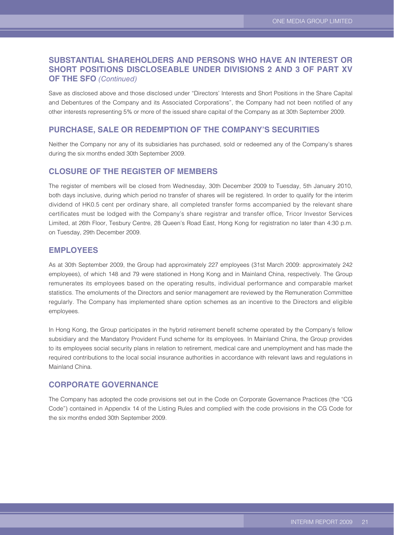## **SUBSTANTIAL SHAREHOLDERS AND PERSONS WHO HAVE AN INTEREST OR SHORT POSITIONS DISCLOSEABLE UNDER DIVISIONS 2 AND 3 OF PART XV OF THE SFO** *(Continued)*

Save as disclosed above and those disclosed under "Directors' Interests and Short Positions in the Share Capital and Debentures of the Company and its Associated Corporations", the Company had not been notified of any other interests representing 5% or more of the issued share capital of the Company as at 30th September 2009.

### **PURCHASE, SALE OR REDEMPTION OF THE COMPANY'S SECURITIES**

Neither the Company nor any of its subsidiaries has purchased, sold or redeemed any of the Company's shares during the six months ended 30th September 2009.

#### **CLOSURE OF THE REGISTER OF MEMBERS**

The register of members will be closed from Wednesday, 30th December 2009 to Tuesday, 5th January 2010, both days inclusive, during which period no transfer of shares will be registered. In order to qualify for the interim dividend of HK0.5 cent per ordinary share, all completed transfer forms accompanied by the relevant share certificates must be lodged with the Company's share registrar and transfer office, Tricor Investor Services Limited, at 26th Floor, Tesbury Centre, 28 Queen's Road East, Hong Kong for registration no later than 4:30 p.m. on Tuesday, 29th December 2009.

## **EMPLOYEES**

As at 30th September 2009, the Group had approximately 227 employees (31st March 2009: approximately 242 employees), of which 148 and 79 were stationed in Hong Kong and in Mainland China, respectively. The Group remunerates its employees based on the operating results, individual performance and comparable market statistics. The emoluments of the Directors and senior management are reviewed by the Remuneration Committee regularly. The Company has implemented share option schemes as an incentive to the Directors and eligible employees.

In Hong Kong, the Group participates in the hybrid retirement benefit scheme operated by the Company's fellow subsidiary and the Mandatory Provident Fund scheme for its employees. In Mainland China, the Group provides to its employees social security plans in relation to retirement, medical care and unemployment and has made the required contributions to the local social insurance authorities in accordance with relevant laws and regulations in Mainland China.

## **CORPORATE GOVERNANCE**

The Company has adopted the code provisions set out in the Code on Corporate Governance Practices (the "CG Code") contained in Appendix 14 of the Listing Rules and complied with the code provisions in the CG Code for the six months ended 30th September 2009.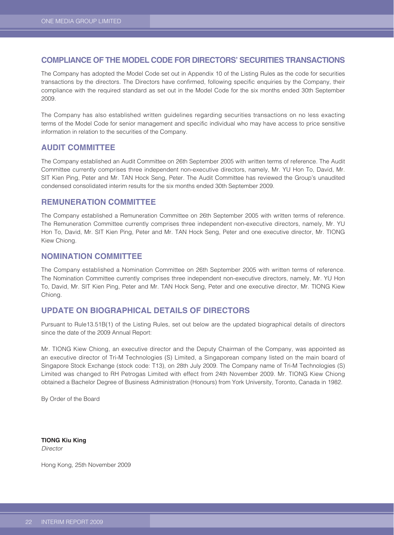## **COMPLIANCE OF THE MODEL CODE FOR DIRECTORS' SECURITIES TRANSACTIONS**

The Company has adopted the Model Code set out in Appendix 10 of the Listing Rules as the code for securities transactions by the directors. The Directors have confirmed, following specific enquiries by the Company, their compliance with the required standard as set out in the Model Code for the six months ended 30th September 2009.

The Company has also established written guidelines regarding securities transactions on no less exacting terms of the Model Code for senior management and specific individual who may have access to price sensitive information in relation to the securities of the Company.

## **AUDIT COMMITTEE**

The Company established an Audit Committee on 26th September 2005 with written terms of reference. The Audit Committee currently comprises three independent non-executive directors, namely, Mr. YU Hon To, David, Mr. SIT Kien Ping, Peter and Mr. TAN Hock Seng, Peter. The Audit Committee has reviewed the Group's unaudited condensed consolidated interim results for the six months ended 30th September 2009.

#### **REMUNERATION COMMITTEE**

The Company established a Remuneration Committee on 26th September 2005 with written terms of reference. The Remuneration Committee currently comprises three independent non-executive directors, namely, Mr. YU Hon To, David, Mr. SIT Kien Ping, Peter and Mr. TAN Hock Seng, Peter and one executive director, Mr. TIONG Kiew Chiong.

### **NOMINATION COMMITTEE**

The Company established a Nomination Committee on 26th September 2005 with written terms of reference. The Nomination Committee currently comprises three independent non-executive directors, namely, Mr. YU Hon To, David, Mr. SIT Kien Ping, Peter and Mr. TAN Hock Seng, Peter and one executive director, Mr. TIONG Kiew Chiong.

## **UPDATE ON BIOGRAPHICAL DETAILS OF DIRECTORS**

Pursuant to Rule13.51B(1) of the Listing Rules, set out below are the updated biographical details of directors since the date of the 2009 Annual Report:

Mr. TIONG Kiew Chiong, an executive director and the Deputy Chairman of the Company, was appointed as an executive director of Tri-M Technologies (S) Limited, a Singaporean company listed on the main board of Singapore Stock Exchange (stock code: T13), on 28th July 2009. The Company name of Tri-M Technologies (S) Limited was changed to RH Petrogas Limited with effect from 24th November 2009. Mr. TIONG Kiew Chiong obtained a Bachelor Degree of Business Administration (Honours) from York University, Toronto, Canada in 1982.

By Order of the Board

**TIONG Kiu King** *Director*

Hong Kong, 25th November 2009